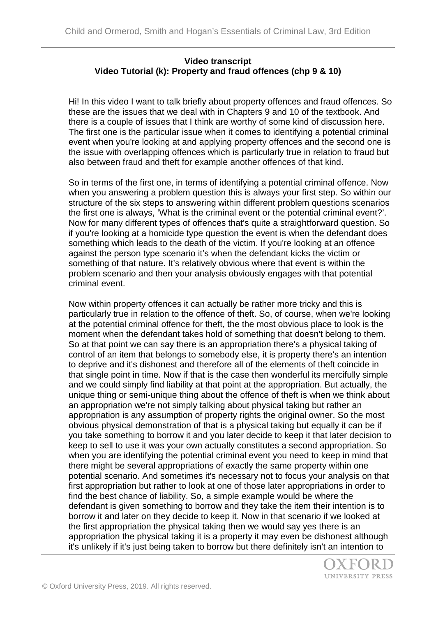## **Video transcript Video Tutorial (k): Property and fraud offences (chp 9 & 10)**

Hi! In this video I want to talk briefly about property offences and fraud offences. So these are the issues that we deal with in Chapters 9 and 10 of the textbook. And there is a couple of issues that I think are worthy of some kind of discussion here. The first one is the particular issue when it comes to identifying a potential criminal event when you're looking at and applying property offences and the second one is the issue with overlapping offences which is particularly true in relation to fraud but also between fraud and theft for example another offences of that kind.

So in terms of the first one, in terms of identifying a potential criminal offence. Now when you answering a problem question this is always your first step. So within our structure of the six steps to answering within different problem questions scenarios the first one is always, 'What is the criminal event or the potential criminal event?'. Now for many different types of offences that's quite a straightforward question. So if you're looking at a homicide type question the event is when the defendant does something which leads to the death of the victim. If you're looking at an offence against the person type scenario it's when the defendant kicks the victim or something of that nature. It's relatively obvious where that event is within the problem scenario and then your analysis obviously engages with that potential criminal event.

Now within property offences it can actually be rather more tricky and this is particularly true in relation to the offence of theft. So, of course, when we're looking at the potential criminal offence for theft, the the most obvious place to look is the moment when the defendant takes hold of something that doesn't belong to them. So at that point we can say there is an appropriation there's a physical taking of control of an item that belongs to somebody else, it is property there's an intention to deprive and it's dishonest and therefore all of the elements of theft coincide in that single point in time. Now if that is the case then wonderful its mercifully simple and we could simply find liability at that point at the appropriation. But actually, the unique thing or semi-unique thing about the offence of theft is when we think about an appropriation we're not simply talking about physical taking but rather an appropriation is any assumption of property rights the original owner. So the most obvious physical demonstration of that is a physical taking but equally it can be if you take something to borrow it and you later decide to keep it that later decision to keep to sell to use it was your own actually constitutes a second appropriation. So when you are identifying the potential criminal event you need to keep in mind that there might be several appropriations of exactly the same property within one potential scenario. And sometimes it's necessary not to focus your analysis on that first appropriation but rather to look at one of those later appropriations in order to find the best chance of liability. So, a simple example would be where the defendant is given something to borrow and they take the item their intention is to borrow it and later on they decide to keep it. Now in that scenario if we looked at the first appropriation the physical taking then we would say yes there is an appropriation the physical taking it is a property it may even be dishonest although it's unlikely if it's just being taken to borrow but there definitely isn't an intention to

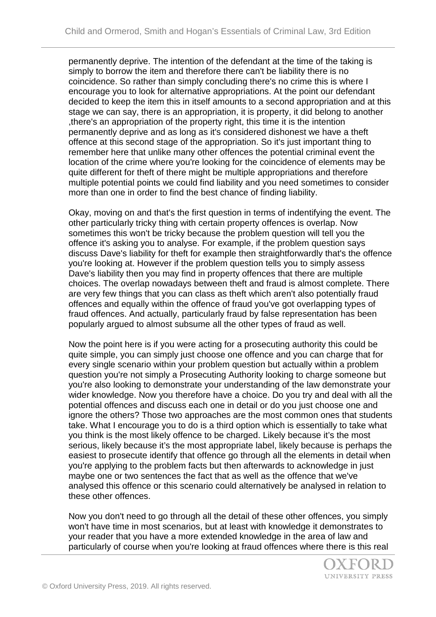permanently deprive. The intention of the defendant at the time of the taking is simply to borrow the item and therefore there can't be liability there is no coincidence. So rather than simply concluding there's no crime this is where I encourage you to look for alternative appropriations. At the point our defendant decided to keep the item this in itself amounts to a second appropriation and at this stage we can say, there is an appropriation, it is property, it did belong to another ,there's an appropriation of the property right, this time it is the intention permanently deprive and as long as it's considered dishonest we have a theft offence at this second stage of the appropriation. So it's just important thing to remember here that unlike many other offences the potential criminal event the location of the crime where you're looking for the coincidence of elements may be quite different for theft of there might be multiple appropriations and therefore multiple potential points we could find liability and you need sometimes to consider more than one in order to find the best chance of finding liability.

Okay, moving on and that's the first question in terms of indentifying the event. The other particularly tricky thing with certain property offences is overlap. Now sometimes this won't be tricky because the problem question will tell you the offence it's asking you to analyse. For example, if the problem question says discuss Dave's liability for theft for example then straightforwardly that's the offence you're looking at. However if the problem question tells you to simply assess Dave's liability then you may find in property offences that there are multiple choices. The overlap nowadays between theft and fraud is almost complete. There are very few things that you can class as theft which aren't also potentially fraud offences and equally within the offence of fraud you've got overlapping types of fraud offences. And actually, particularly fraud by false representation has been popularly argued to almost subsume all the other types of fraud as well.

Now the point here is if you were acting for a prosecuting authority this could be quite simple, you can simply just choose one offence and you can charge that for every single scenario within your problem question but actually within a problem question you're not simply a Prosecuting Authority looking to charge someone but you're also looking to demonstrate your understanding of the law demonstrate your wider knowledge. Now you therefore have a choice. Do you try and deal with all the potential offences and discuss each one in detail or do you just choose one and ignore the others? Those two approaches are the most common ones that students take. What I encourage you to do is a third option which is essentially to take what you think is the most likely offence to be charged. Likely because it's the most serious, likely because it's the most appropriate label, likely because is perhaps the easiest to prosecute identify that offence go through all the elements in detail when you're applying to the problem facts but then afterwards to acknowledge in just maybe one or two sentences the fact that as well as the offence that we've analysed this offence or this scenario could alternatively be analysed in relation to these other offences.

Now you don't need to go through all the detail of these other offences, you simply won't have time in most scenarios, but at least with knowledge it demonstrates to your reader that you have a more extended knowledge in the area of law and particularly of course when you're looking at fraud offences where there is this real